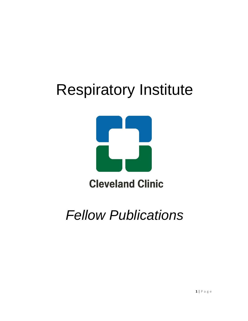## Respiratory Institute



*Fellow Publications*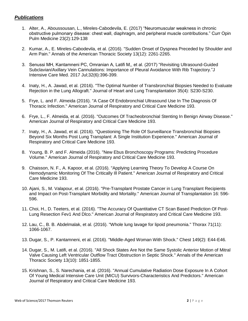## *Publications*

- 1. Alter, A., Aboussousan, L., Mireles-Cabodevila, E. (2017) "Neuromuscular weakness in chronic obstructive pulmonary disease: chest wall, diaphragm, and peripheral muscle contributions." Curr Opin Pulm Medicine 23(2):129-138
- 2. Kumar, A., E. Mireles-Cabodevila, et al. (2016). "Sudden Onset of Dyspnea Preceded by Shoulder and Arm Pain." Annals of the American Thoracic Society 13(12): 2261-2265.
- 3. Senussi MH, Kantamneni PC, Omranian A, Latifi M,, et al. (2017) ["Revisiting Ultrasound-Guided](https://www.ncbi.nlm.nih.gov/pubmed/28359216)  [Subclavian/Axillary Vein Cannulations: Importance of Pleural Avoidance With Rib Trajectory."](https://www.ncbi.nlm.nih.gov/pubmed/28359216)J Intensive Care Med. 2017 Jul;32(6):396-399.
- 4. Inaty, H., A. Jawad, et al. (2016). "The Optimal Number of Transbronchial Biopsies Needed to Evaluate Rejection in the Lung Allograft." Journal of Heart and Lung Transplantation 35(4): S230-S230.
- 5. Frye, L. and F. Almeida (2016). "A Case Of Endobronchial Ultrasound Use In The Diagnosis Of Thoracic Infection." American Journal of Respiratory and Critical Care Medicine 193.
- 6. Frye, L., F. Almeida, et al. (2016). "Outcomes Of Tracheobronchial Stenting In Benign Airway Disease." American Journal of Respiratory and Critical Care Medicine 193.
- 7. Inaty, H., A. Jawad, et al. (2016). "Questioning The Role Of Surveillance Transbronchial Biopsies Beyond Six Months Post Lung Transplant: A Single Institution Experience." American Journal of Respiratory and Critical Care Medicine 193.
- 8. Young, B. P. and F. Almeida (2016). "New Ebus Bronchoscopy Programs: Predicting Procedure Volume." American Journal of Respiratory and Critical Care Medicine 193.
- 9. Chaisson, N. F., A. Kapoor, et al. (2016). "Applying Learning Theory To Develop A Course On Hemodynamic Monitoring Of The Critically Ill Patient." American Journal of Respiratory and Critical Care Medicine 193.
- 10. Ajani, S., M. Valapour, et al. (2016). "Pre-Transplant Prostate Cancer in Lung Transplant Recipients and Impact on Post-Transplant Morbidity and Mortality." American Journal of Transplantation 16: 596- 596.
- 11. Choi, H., D. Teeters, et al. (2016). "The Accuracy Of Quantitative CT Scan Based Prediction Of Post-Lung Resection Fev1 And Dlco." American Journal of Respiratory and Critical Care Medicine 193.
- 12. Lau, C., B. B. Abdelmalak, et al. (2016). "Whole lung lavage for lipoid pneumonia." Thorax 71(11): 1066-1067.
- 13. Dugar, S., P. Kantamneni, et al. (2016). "Middle-Aged Woman With Shock." Chest 149(2): E44-E46.
- 14. Dugar, S., M. Latifi, et al. (2016). "All Shock States Are Not the Same Systolic Anterior Motion of Mitral Valve Causing Left Ventricular Outflow Tract Obstruction in Septic Shock." Annals of the American Thoracic Society 13(10): 1851-1855.
- 15. Krishnan, S., S. Narechania, et al. (2016). "Annual Cumulative Radiation Dose Exposure In A Cohort Of Young Medical Intensive Care Unit (MICU) Survivors-Characteristics And Predictors." American Journal of Respiratory and Critical Care Medicine 193.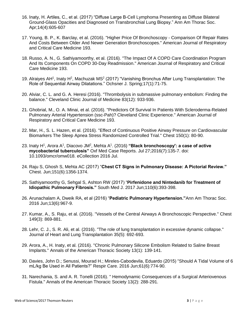- 16. Inaty, H. Artiles, C., et al. (2017) "Diffuse Large B-Cell Lymphoma Presenting as Diffuse Bilateral Ground-Glass Opacities and Diagnosed on Transbronchial Lung Biopsy." [Ann Am Thorac Soc.](https://www.ncbi.nlm.nih.gov/pubmed/?term=28362535) Apr;14(4):605-607
- 17. Young, B. P., K. Barclay, et al. (2016). "Higher Price Of Bronchoscopy Comparison Of Repair Rates And Costs Between Older And Newer Generation Bronchoscopes." American Journal of Respiratory and Critical Care Medicine 193.
- 18. Russo, A. N., G. Sathiyamoorthy, et al. (2016). "The Impact Of A COPD Care Coordination Program And Its Components On COPD 30-Day Readmission." American Journal of Respiratory and Critical Care Medicine 193.
- 19. [Alraiyes AH](https://www.ncbi.nlm.nih.gov/pubmed/?term=Alraiyes%20AH%5BAuthor%5D&cauthor=true&cauthor_uid=28331451)<sup>1</sup>, [Inaty H](https://www.ncbi.nlm.nih.gov/pubmed/?term=Inaty%20H%5BAuthor%5D&cauthor=true&cauthor_uid=28331451)<sup>2</sup>, [Machuzak MS](https://www.ncbi.nlm.nih.gov/pubmed/?term=Machuzak%20MS%5BAuthor%5D&cauthor=true&cauthor_uid=28331451)<sup>2</sup> (2017) "Vanishing Bronchus After Lung Transplantation: The Role of Sequential Airway Dilatations." [Ochsner J.](https://www.ncbi.nlm.nih.gov/pubmed/?term=28331451) Spring;17(1):71-75.
- 20. Alviar, C. L. and G. A. Heresi (2016). "Thrombolysis in submassive pulmonary embolism: Finding the balance." Cleveland Clinic Journal of Medicine 83(12): 933-936.
- 21. Ghobrial, M., O. A. Minai, et al. (2016). "Predictors Of Survival In Patients With Scleroderma-Related Pulmonary Arterial Hypertension (ssc-Pah)? Cleveland Clinic Experience." American Journal of Respiratory and Critical Care Medicine 193.
- 22. Mar, H., S. L. Hazen, et al. (2016). "Effect of Continuous Positive Airway Pressure on Cardiovascular Biomarkers The Sleep Apnea Stress Randomized Controlled Trial." Chest 150(1): 80-90.
- 23. [Inaty H](https://www.ncbi.nlm.nih.gov/pubmed/?term=Inaty%20H%5BAuthor%5D&cauthor=true&cauthor_uid=27471594)<sup>1</sup>, [Arora A](https://www.ncbi.nlm.nih.gov/pubmed/?term=Arora%20A%5BAuthor%5D&cauthor=true&cauthor_uid=27471594)<sup>1</sup>, [Diacovo JM](https://www.ncbi.nlm.nih.gov/pubmed/?term=Diacovo%20JM%5BAuthor%5D&cauthor=true&cauthor_uid=27471594)<sup>2</sup>, [Mehta A](https://www.ncbi.nlm.nih.gov/pubmed/?term=Mehta%20A%5BAuthor%5D&cauthor=true&cauthor_uid=27471594)<sup>1</sup>. (2016) "Black bronchoscopy': a case of active **mycobacterial tuberculosis"** [Oxf Med Case Reports.](https://www.ncbi.nlm.nih.gov/pubmed/?term=27471594) Jul 27;2016(7):135-7. doi: 10.1093/omcr/omw018. eCollection 2016 Jul.
- 24. [Raju S,](https://www.ncbi.nlm.nih.gov/pubmed/?term=Raju%20S%5BAuthor%5D&cauthor=true&cauthor_uid=28212835) [Ghosh S,](https://www.ncbi.nlm.nih.gov/pubmed/?term=Ghosh%20S%5BAuthor%5D&cauthor=true&cauthor_uid=28212835) [Mehta AC](https://www.ncbi.nlm.nih.gov/pubmed/?term=Mehta%20AC%5BAuthor%5D&cauthor=true&cauthor_uid=28212835) (2017) "**Chest CT Signs in Pulmonary Disease: A Pictorial Review."**  [Chest.](https://www.ncbi.nlm.nih.gov/pubmed/?term=28212835) Jun;151(6):1356-1374.
- 25. [Sathiyamoorthy G,](https://www.ncbi.nlm.nih.gov/pubmed/?term=Sathiyamoorthy%20G%5BAuthor%5D&cauthor=true&cauthor_uid=28575896) [Sehgal S,](https://www.ncbi.nlm.nih.gov/pubmed/?term=Sehgal%20S%5BAuthor%5D&cauthor=true&cauthor_uid=28575896) [Ashton RW](https://www.ncbi.nlm.nih.gov/pubmed/?term=Ashton%20RW%5BAuthor%5D&cauthor=true&cauthor_uid=28575896) (2017) "**Pirfenidone and Nintedanib for Treatment of Idiopathic Pulmonary Fibrosis."** [South Med J.](https://www.ncbi.nlm.nih.gov/pubmed/?term=28575896) 2017 Jun;110(6):393-398.
- 26. [Arunachalam A,](https://www.ncbi.nlm.nih.gov/pubmed/?term=Arunachalam%20A%5BAuthor%5D&cauthor=true&cauthor_uid=27295157) [Dweik RA,](https://www.ncbi.nlm.nih.gov/pubmed/?term=Dweik%20RA%5BAuthor%5D&cauthor=true&cauthor_uid=27295157) et al (2016) "**Pediatric Pulmonary Hypertension."**[Ann Am Thorac Soc.](https://www.ncbi.nlm.nih.gov/pubmed/?term=27295157) 2016 Jun;13(6):967-9.
- 27. Kumar, A., S. Raju, et al. (2016). "Vessels of the Central Airways A Bronchoscopic Perspective." Chest 149(3): 869-881.
- 28. Lehr, C. J., S. R. Ali, et al. (2016). "The role of lung transplantation in excessive dynamic collapse." Journal of Heart and Lung Transplantation 35(5): 692-693.
- 29. Arora, A., H. Inaty, et al. (2016). "Chronic Pulmonary Silicone Embolism Related to Saline Breast Implants." Annals of the American Thoracic Society 13(1): 139-141.
- 30. Davies, John D.; Senussi, Mourad H.; Mireles-Cabodevila, Eduardo (2015) ["Should A Tidal Volume of 6](https://apps.webofknowledge.com/full_record.do?product=WOS&search_mode=GeneralSearch&qid=3&SID=3Flqn63FcGjegHOEcKj&page=1&doc=9)  [mL/kg Be Used in All Patients?" Respir Care.](https://apps.webofknowledge.com/full_record.do?product=WOS&search_mode=GeneralSearch&qid=3&SID=3Flqn63FcGjegHOEcKj&page=1&doc=9) 2016 Jun;61(6):774-90.
- 31. Narechania, S. and A. R. Tonelli (2016). " Hemodynamic Consequences of a Surgical Arteriovenous Fistula." Annals of the American Thoracic Society 13(2): 288-291.